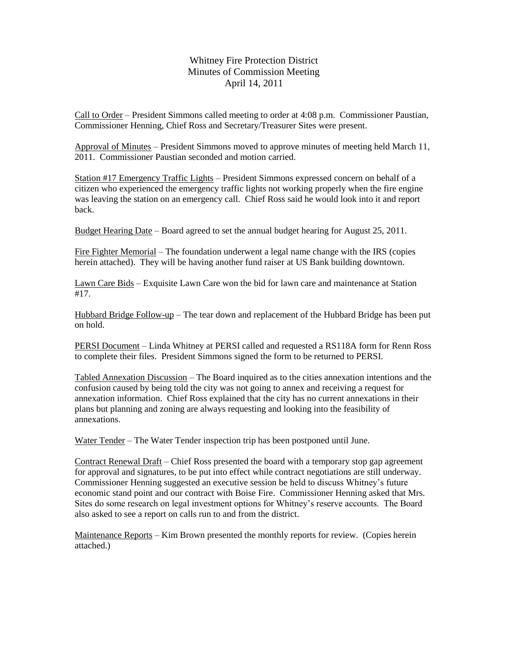Whitney Fire Protection District Minutes of Commission Meeting April 14, 2011

Call to Order – President Simmons called meeting to order at 4:08 p.m. Commissioner Paustian, Commissioner Henning, Chief Ross and Secretary/Treasurer Sites were present.

Approval of Minutes – President Simmons moved to approve minutes of meeting held March 11, 2011. Commissioner Paustian seconded and motion carried.

Station #17 Emergency Traffic Lights – President Simmons expressed concern on behalf of a citizen who experienced the emergency traffic lights not working properly when the fire engine was leaving the station on an emergency call. Chief Ross said he would look into it and report back.

Budget Hearing Date – Board agreed to set the annual budget hearing for August 25, 2011.

Fire Fighter Memorial – The foundation underwent a legal name change with the IRS (copies herein attached). They will be having another fund raiser at US Bank building downtown.

Lawn Care Bids – Exquisite Lawn Care won the bid for lawn care and maintenance at Station #17.

Hubbard Bridge Follow-up – The tear down and replacement of the Hubbard Bridge has been put on hold.

PERSI Document – Linda Whitney at PERSI called and requested a RS118A form for Renn Ross to complete their files. President Simmons signed the form to be returned to PERSI.

Tabled Annexation Discussion – The Board inquired as to the cities annexation intentions and the confusion caused by being told the city was not going to annex and receiving a request for annexation information. Chief Ross explained that the city has no current annexations in their plans but planning and zoning are always requesting and looking into the feasibility of annexations.

Water Tender – The Water Tender inspection trip has been postponed until June.

Contract Renewal Draft – Chief Ross presented the board with a temporary stop gap agreement for approval and signatures, to be put into effect while contract negotiations are still underway. Commissioner Henning suggested an executive session be held to discuss Whitney's future economic stand point and our contract with Boise Fire. Commissioner Henning asked that Mrs. Sites do some research on legal investment options for Whitney's reserve accounts. The Board also asked to see a report on calls run to and from the district.

Maintenance Reports – Kim Brown presented the monthly reports for review. (Copies herein attached.)